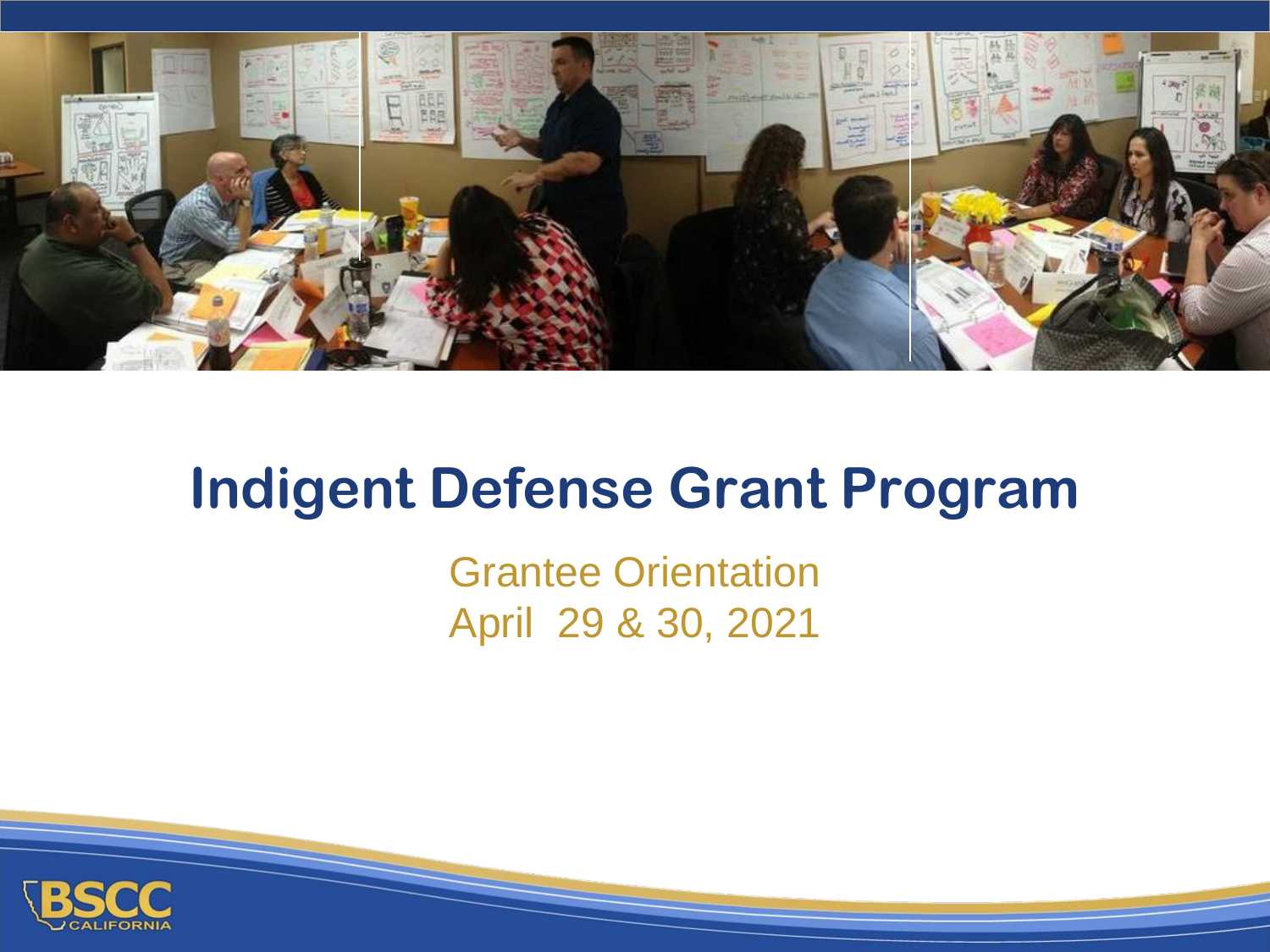

#### **Indigent Defense Grant Program**

Grantee Orientation April 29 & 30, 2021

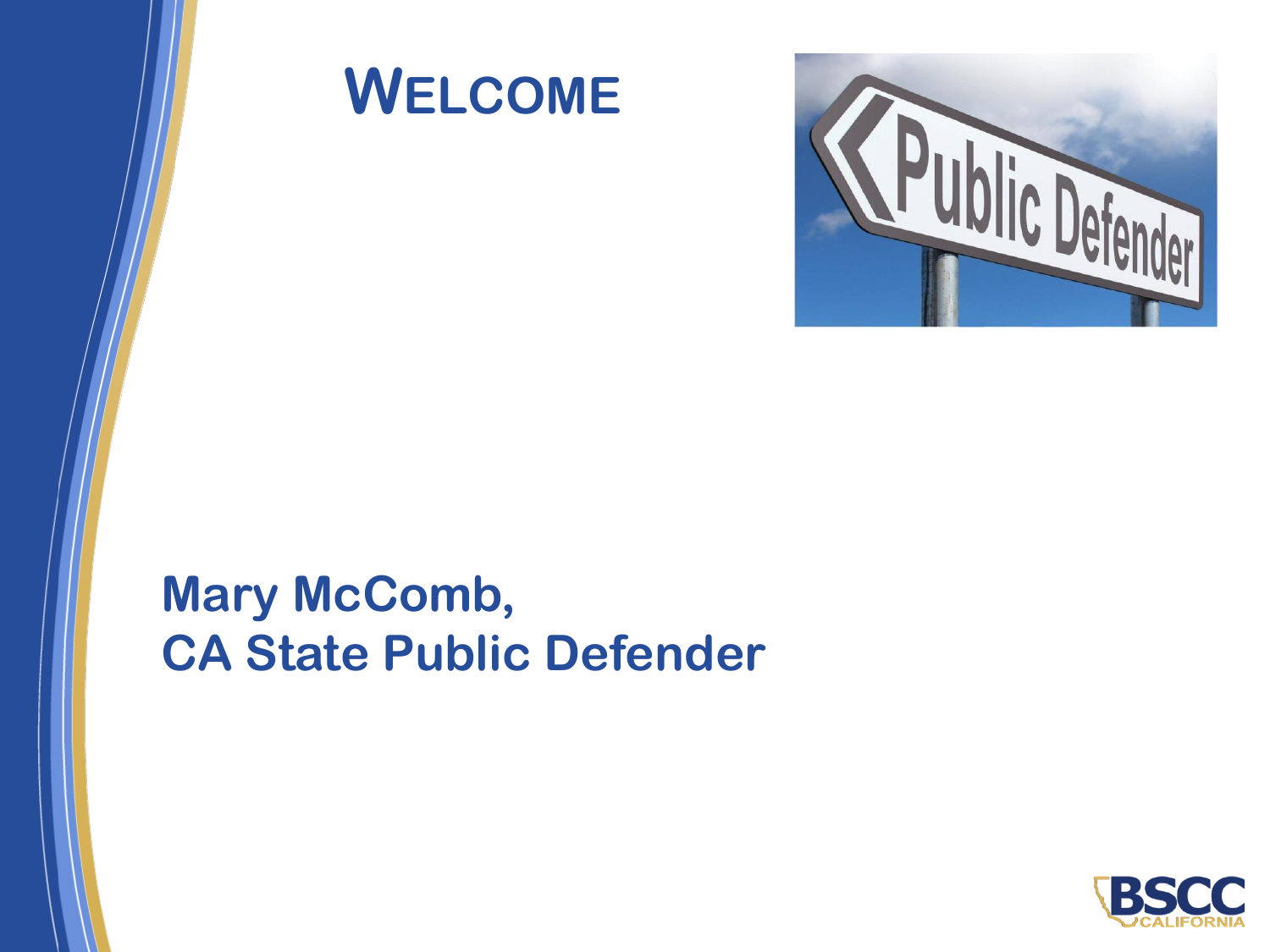





#### **Mary McComb, CA State Public Defender**

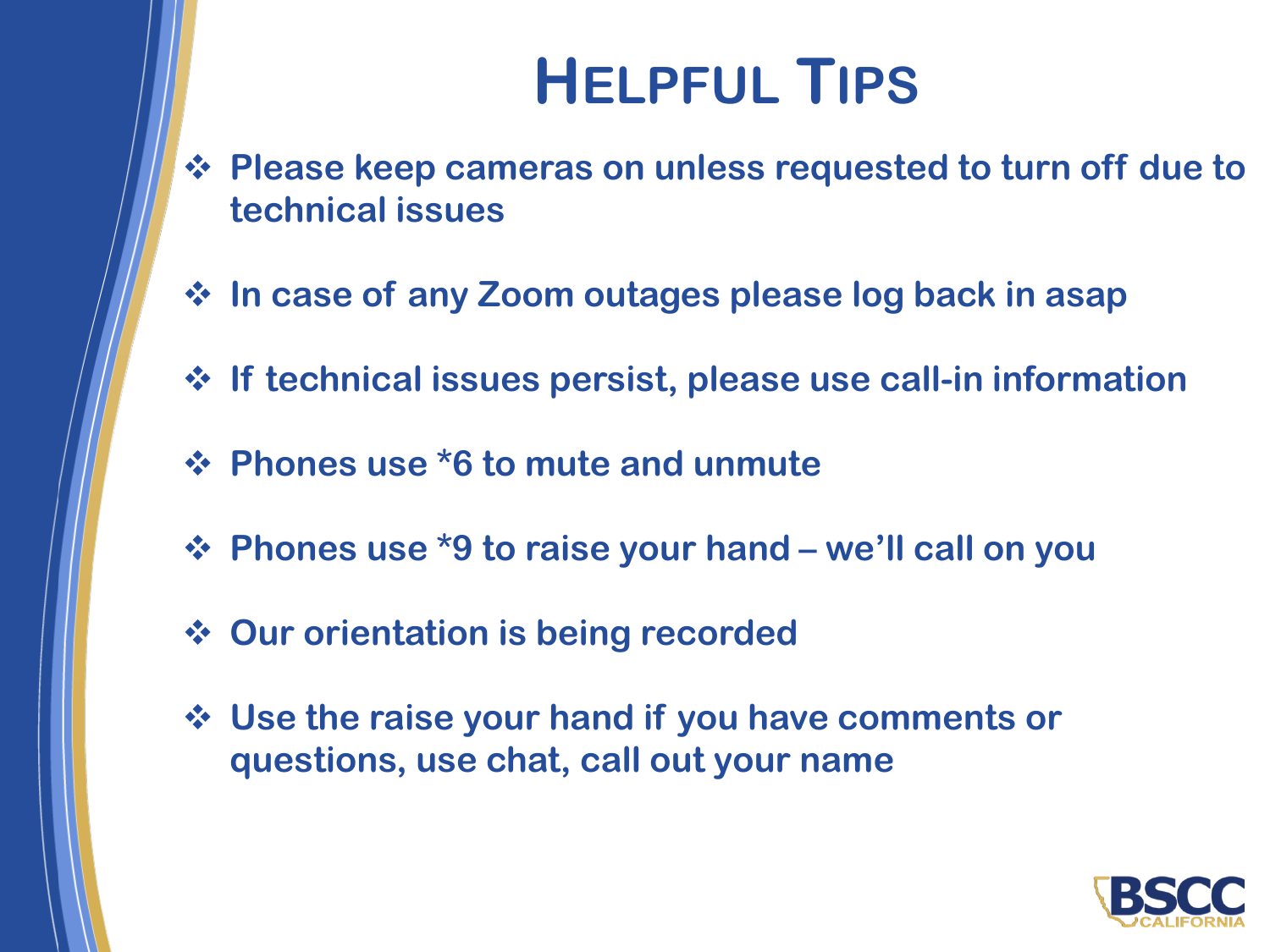# **HELPFUL TIPS**

- ❖ **Please keep cameras on unless requested to turn off due to technical issues**
- ❖ **In case of any Zoom outages please log back in asap**
- ❖ **If technical issues persist, please use call-in information**
- ❖ **Phones use \*6 to mute and unmute**
- ❖ **Phones use \*9 to raise your hand – we'll call on you**
- ❖ **Our orientation is being recorded**
- ❖ **Use the raise your hand if you have comments or questions, use chat, call out your name**

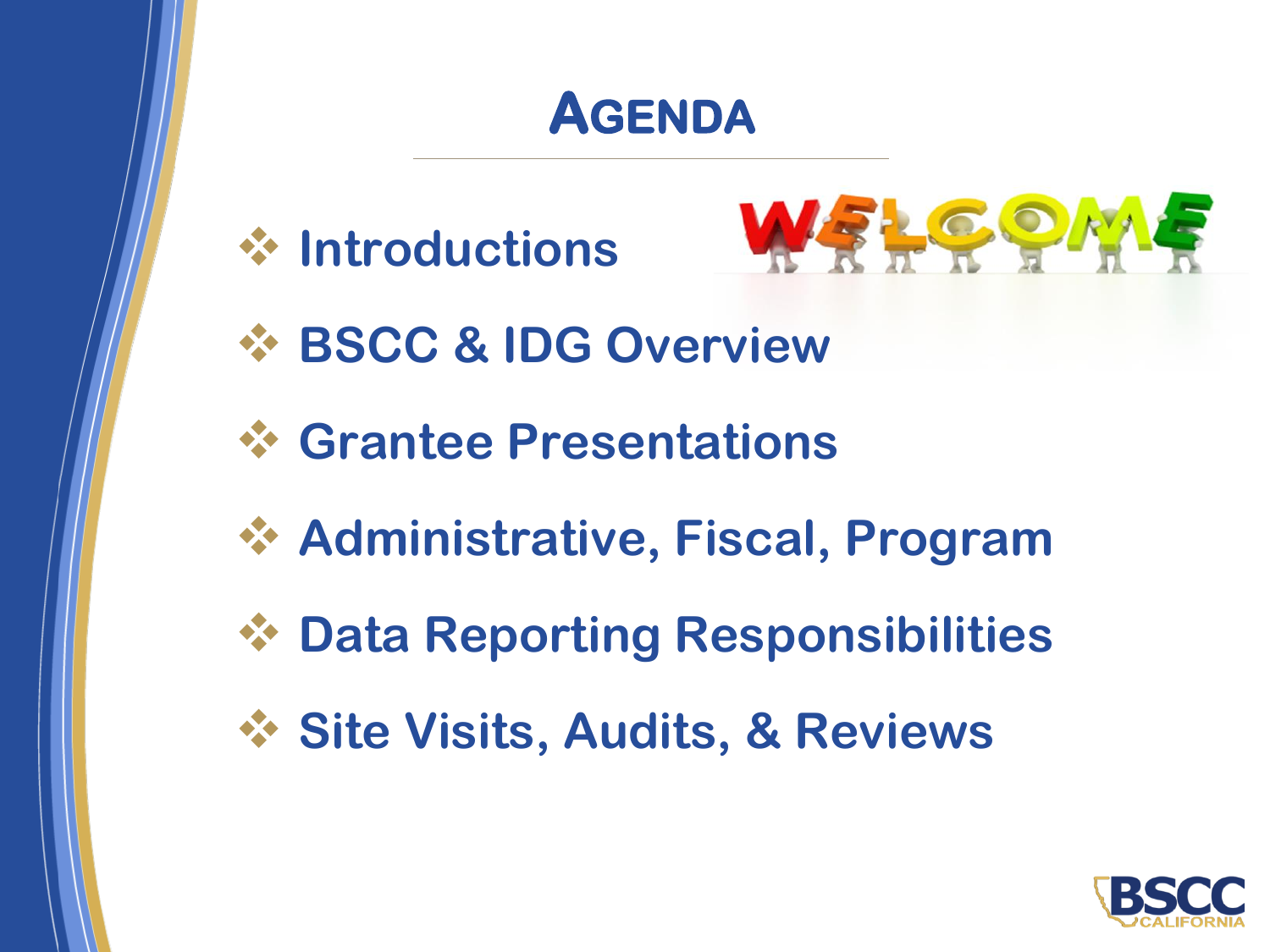#### **AGENDA**

❖ **Introductions**



- ❖ **BSCC & IDG Overview**
- ❖ **Grantee Presentations**
- ❖ **Administrative, Fiscal, Program**
- ❖ **Data Reporting Responsibilities**
- ❖ **Site Visits, Audits, & Reviews**

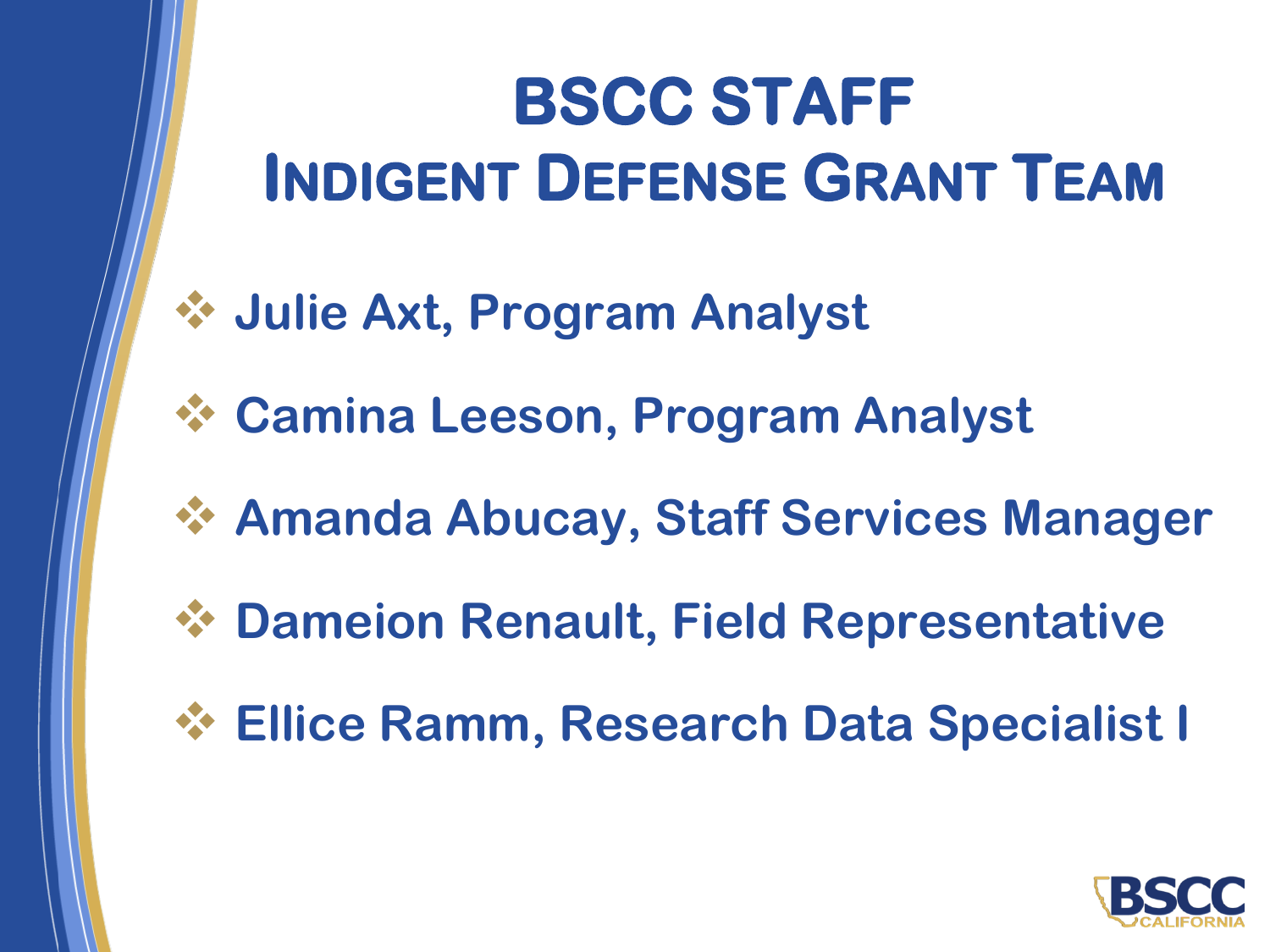# **BSCC STAFF INDIGENT DEFENSE GRANT TEAM**

- ❖ **Julie Axt, Program Analyst**
- ❖ **Camina Leeson, Program Analyst**
- ❖ **Amanda Abucay, Staff Services Manager**
- ❖ **Dameion Renault, Field Representative**
- ❖ **Ellice Ramm, Research Data Specialist I**

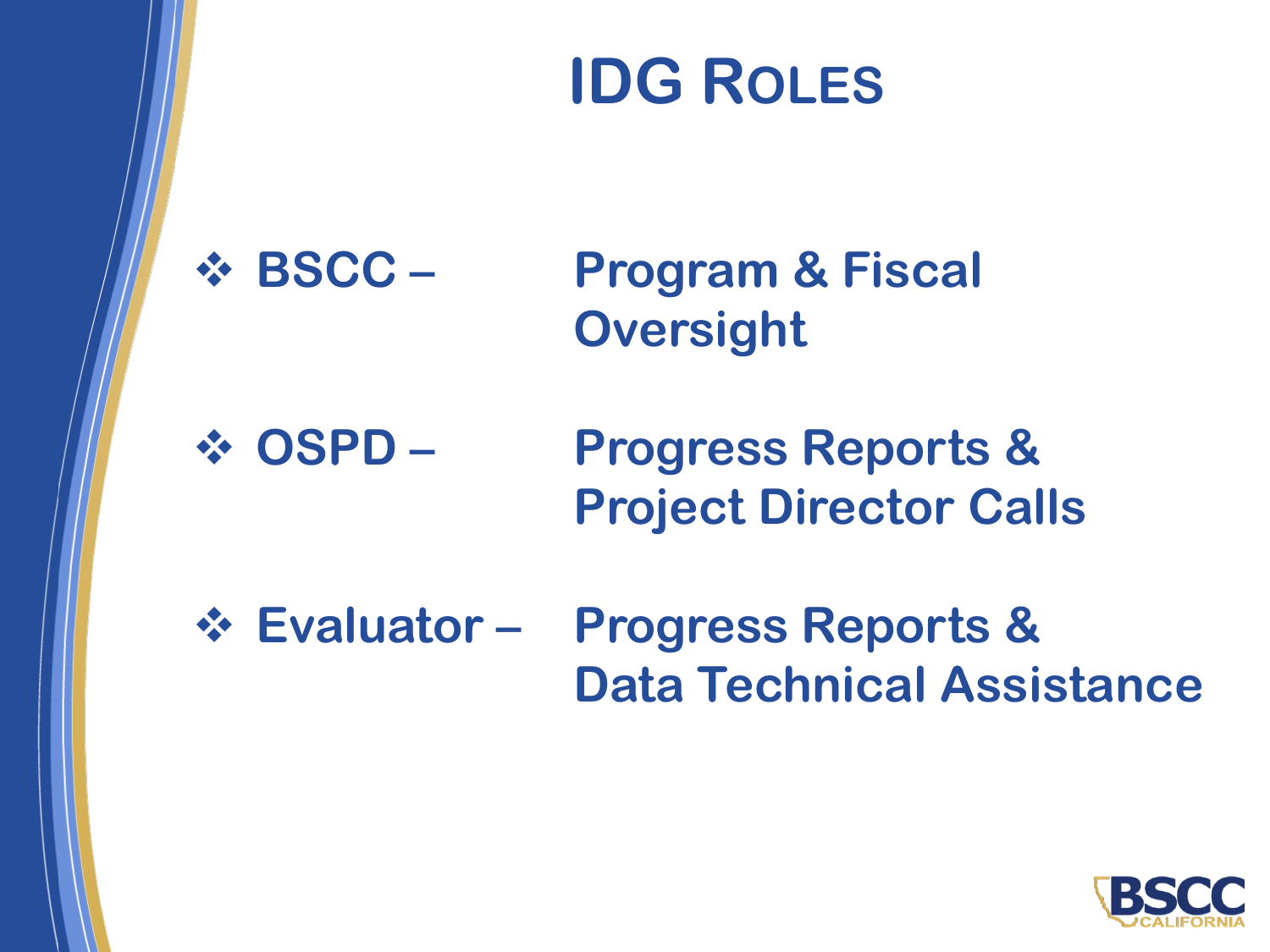# **IDG ROLES**

❖ **BSCC – Program & Fiscal Oversight**

❖ **OSPD – Progress Reports & Project Director Calls**

❖ **Evaluator – Progress Reports & Data Technical Assistance**

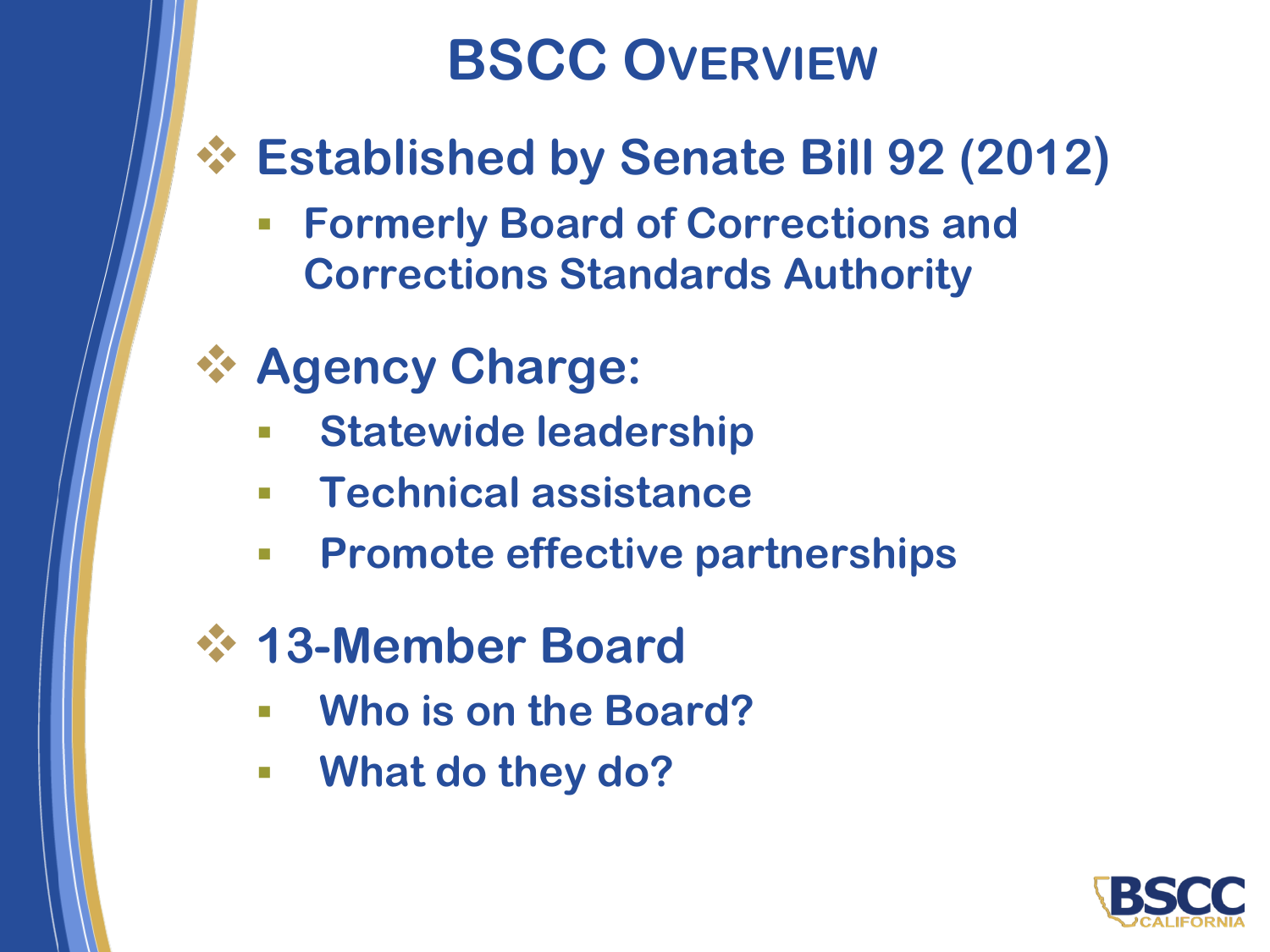## **BSCC OVERVIEW**

#### ❖ **Established by Senate Bill 92 (2012)**

- **Formerly Board of Corrections and Corrections Standards Authority**
- ❖ **Agency Charge:**
	- **Statewide leadership**
	- **Technical assistance**
	- **Promote effective partnerships**
- ❖ **13-Member Board**
	- **Who is on the Board?**
	- **What do they do?**

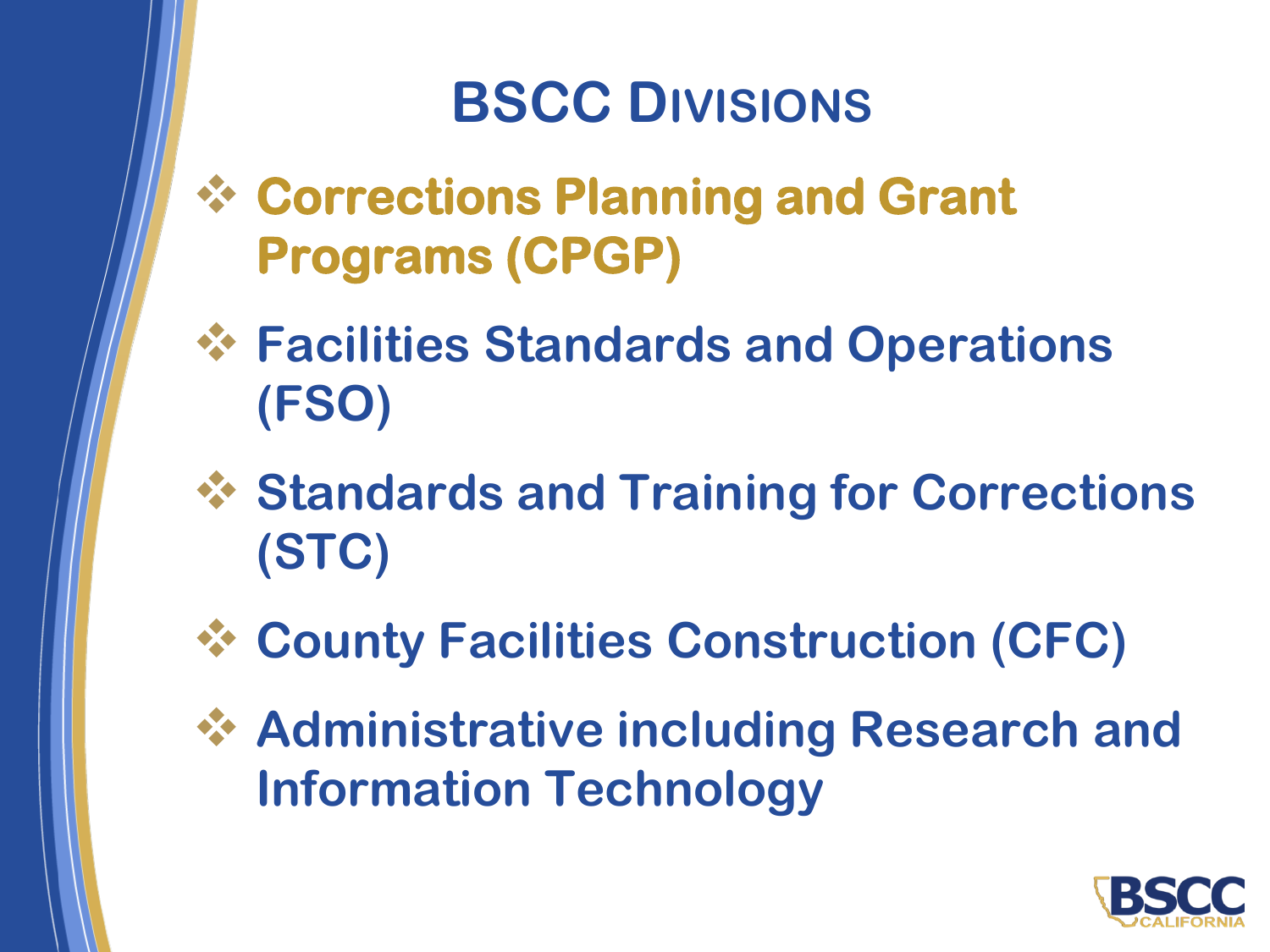## **BSCC DIVISIONS**

- ❖ **Corrections Planning and Grant Programs (CPGP)**
- ❖ **Facilities Standards and Operations (FSO)**
- ❖ **Standards and Training for Corrections (STC)**
- ❖ **County Facilities Construction (CFC)**
- ❖ **Administrative including Research and Information Technology**

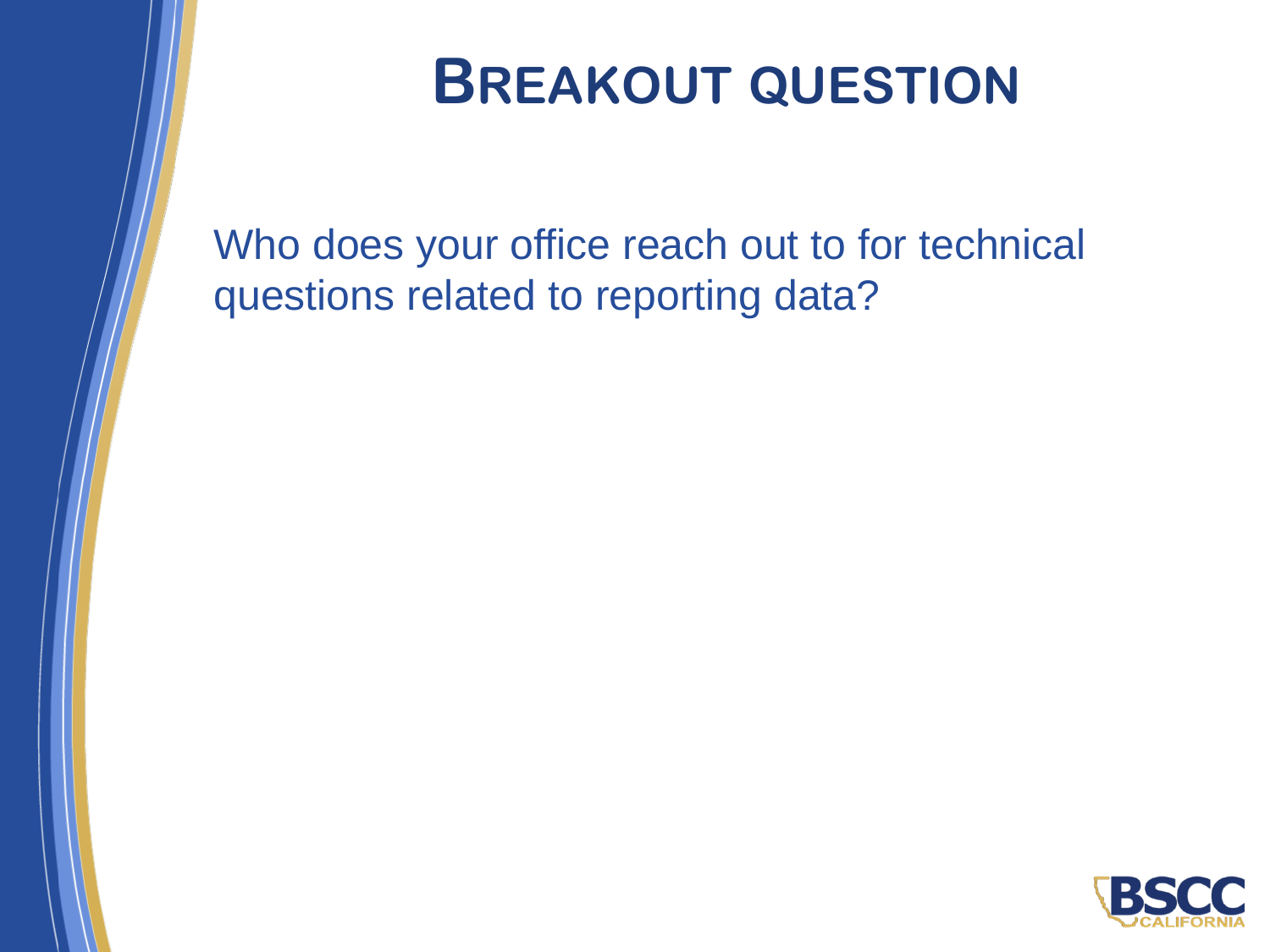

## **BREAKOUT QUESTION**

Who does your office reach out to for technical questions related to reporting data?

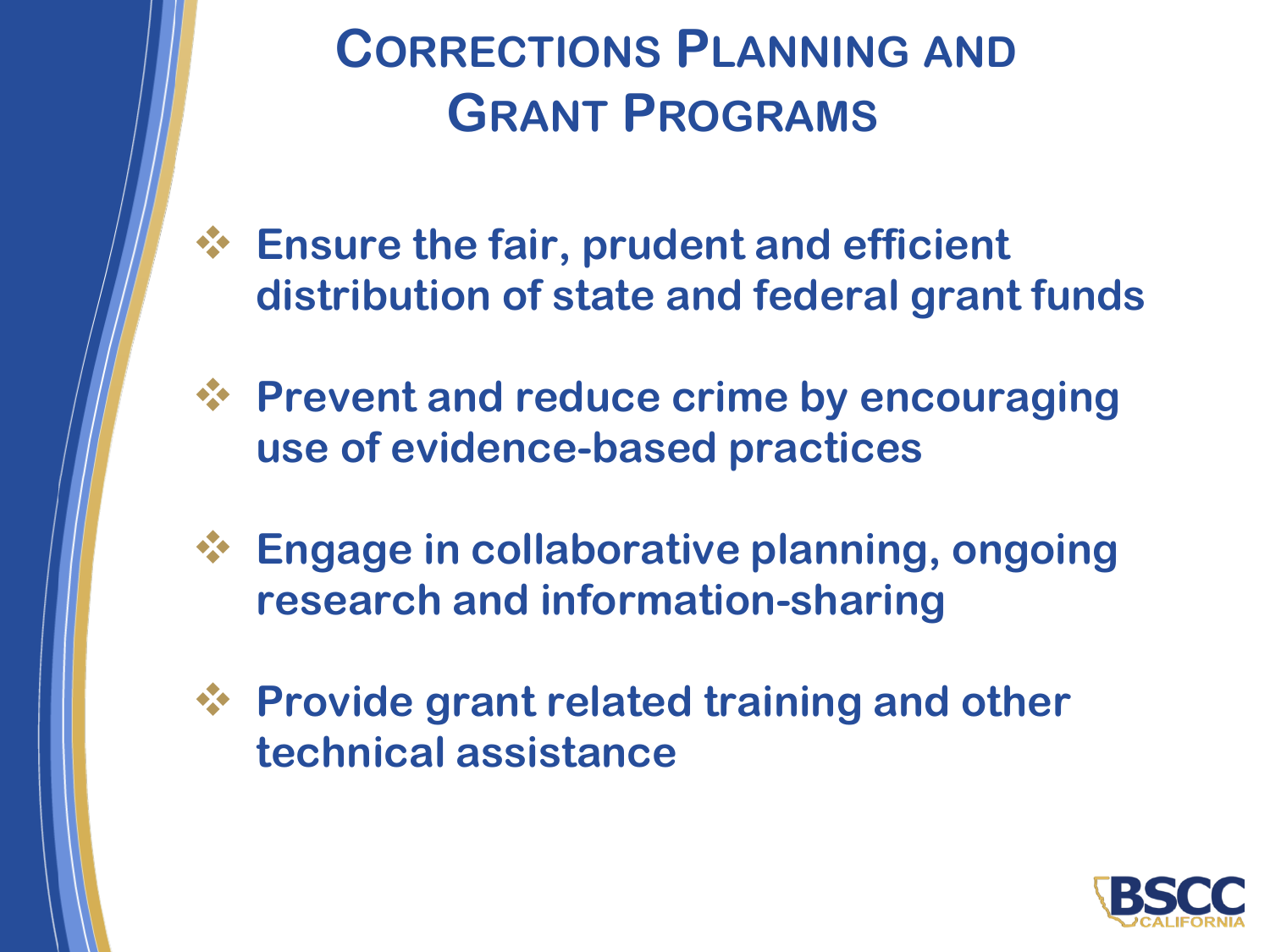**CORRECTIONS PLANNING AND GRANT PROGRAMS**

- ❖ **Ensure the fair, prudent and efficient distribution of state and federal grant funds**
- ❖ **Prevent and reduce crime by encouraging use of evidence-based practices**
- ❖ **Engage in collaborative planning, ongoing research and information-sharing**
- ❖ **Provide grant related training and other technical assistance**

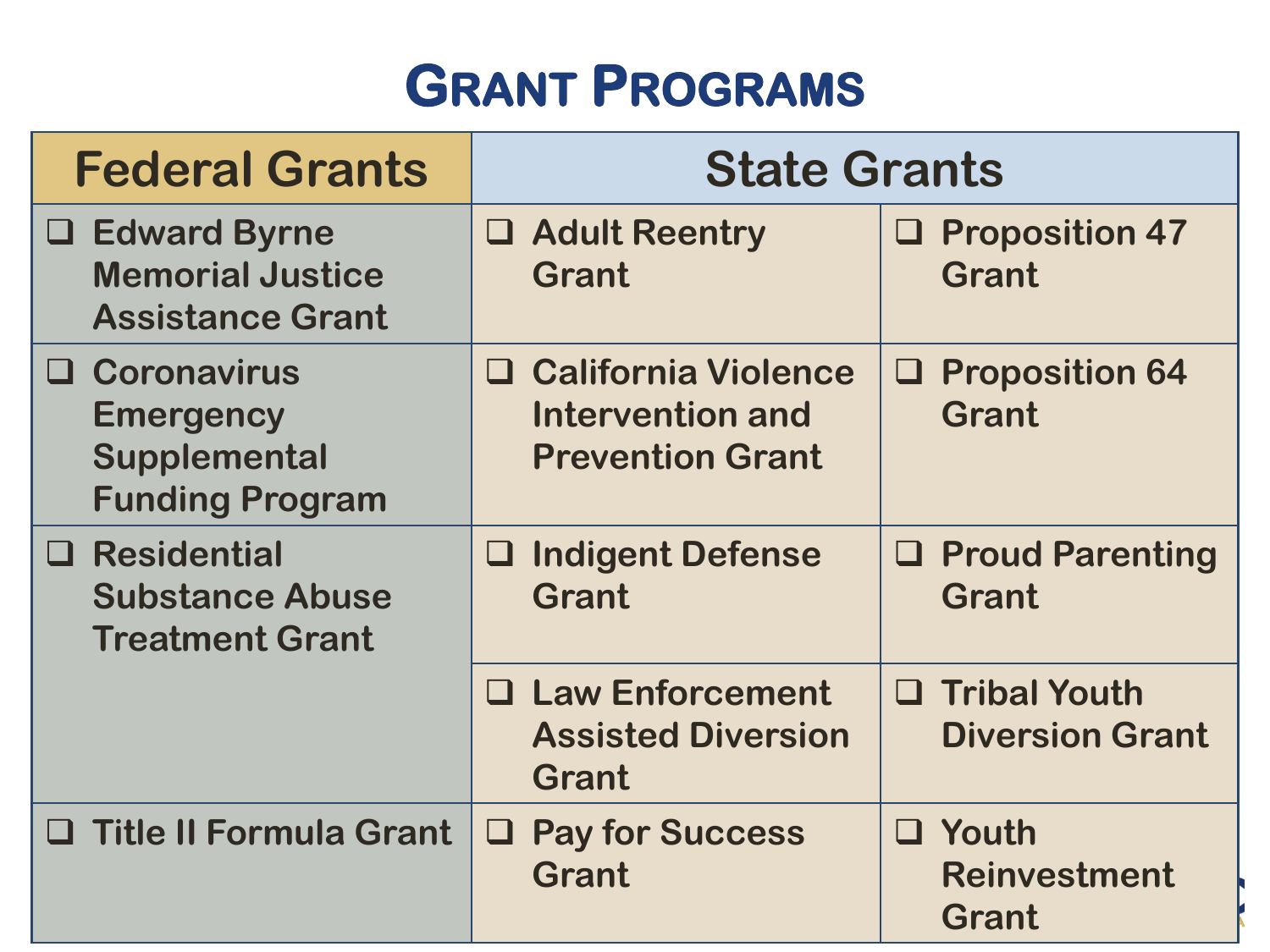# $$

| <b>Federal Grants</b>                                                              | <b>State Grants</b>                                                                   |                                                     |
|------------------------------------------------------------------------------------|---------------------------------------------------------------------------------------|-----------------------------------------------------|
| <b>Edward Byrne</b><br>⊔<br><b>Memorial Justice</b><br><b>Assistance Grant</b>     | <b>Adult Reentry</b><br>⊔<br><b>Grant</b>                                             | <b>Proposition 47</b><br>$\Box$<br><b>Grant</b>     |
| <b>Q</b> Coronavirus<br><b>Emergency</b><br>Supplemental<br><b>Funding Program</b> | <b>California Violence</b><br>ப<br><b>Intervention and</b><br><b>Prevention Grant</b> | <b>Proposition 64</b><br>⊔<br><b>Grant</b>          |
| $\Box$ Residential<br><b>Substance Abuse</b><br><b>Treatment Grant</b>             | <b>Indigent Defense</b><br>⊔<br><b>Grant</b>                                          | $\Box$ Proud Parenting<br><b>Grant</b>              |
|                                                                                    | <b>Law Enforcement</b><br>⊔<br><b>Assisted Diversion</b><br><b>Grant</b>              | $\Box$ Tribal Youth<br><b>Diversion Grant</b>       |
| $\Box$ Title II Formula Grant                                                      | <b>Pay for Success</b><br>⊔<br><b>Grant</b>                                           | $\Box$ Youth<br><b>Reinvestment</b><br><b>Grant</b> |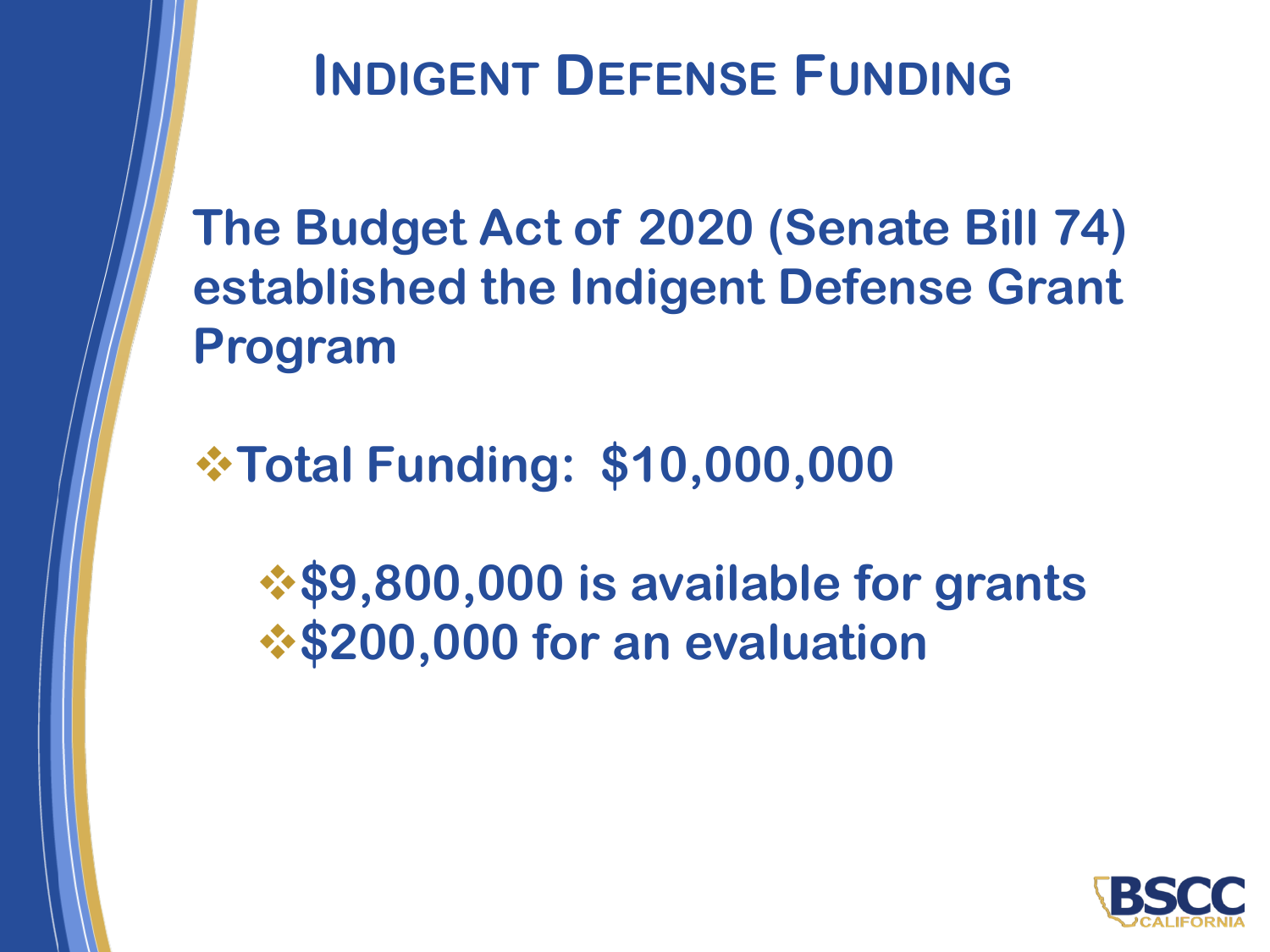#### **INDIGENT DEFENSE FUNDING**

**The Budget Act of 2020 (Senate Bill 74) established the Indigent Defense Grant Program** 

❖**Total Funding: \$10,000,000**

❖**\$9,800,000 is available for grants**  ❖**\$200,000 for an evaluation**

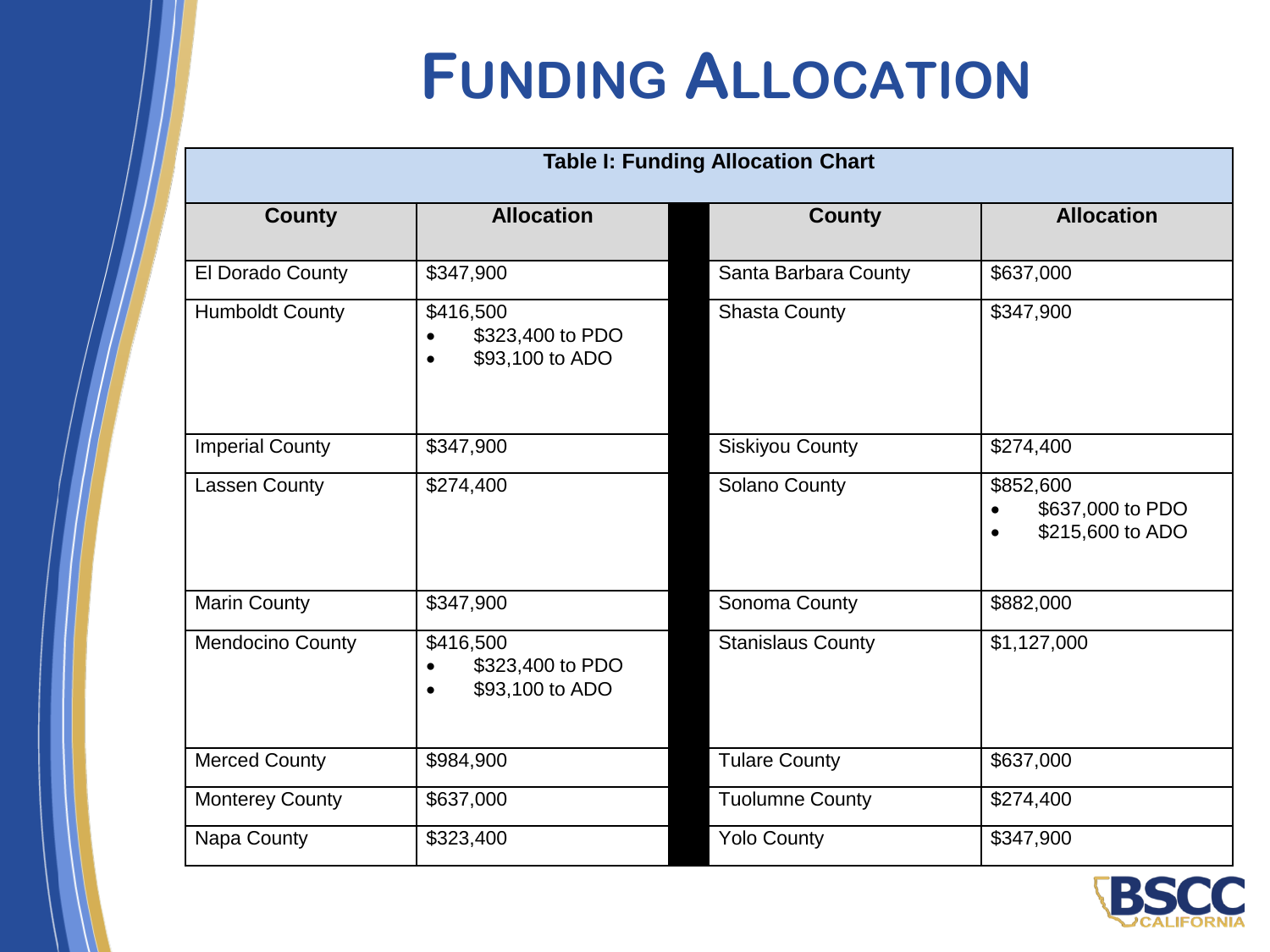# **FUNDING ALLOCATION**

| <b>Table I: Funding Allocation Chart</b> |                                                               |                          |                                                                             |  |
|------------------------------------------|---------------------------------------------------------------|--------------------------|-----------------------------------------------------------------------------|--|
| <b>County</b>                            | <b>Allocation</b>                                             | <b>County</b>            | <b>Allocation</b>                                                           |  |
| El Dorado County                         | \$347,900                                                     | Santa Barbara County     | \$637,000                                                                   |  |
| <b>Humboldt County</b>                   | \$416,500<br>\$323,400 to PDO<br>\$93,100 to ADO              | <b>Shasta County</b>     | \$347,900                                                                   |  |
| <b>Imperial County</b>                   | \$347,900                                                     | <b>Siskiyou County</b>   | \$274,400                                                                   |  |
| <b>Lassen County</b>                     | \$274,400                                                     | Solano County            | \$852,600<br>\$637,000 to PDO<br>$\bullet$<br>\$215,600 to ADO<br>$\bullet$ |  |
| <b>Marin County</b>                      | \$347,900                                                     | Sonoma County            | \$882,000                                                                   |  |
| Mendocino County                         | \$416,500<br>\$323,400 to PDO<br>\$93,100 to ADO<br>$\bullet$ | <b>Stanislaus County</b> | \$1,127,000                                                                 |  |
| <b>Merced County</b>                     | \$984,900                                                     | <b>Tulare County</b>     | \$637,000                                                                   |  |
| <b>Monterey County</b>                   | \$637,000                                                     | <b>Tuolumne County</b>   | \$274,400                                                                   |  |
| Napa County                              | \$323,400                                                     | <b>Yolo County</b>       | \$347,900                                                                   |  |

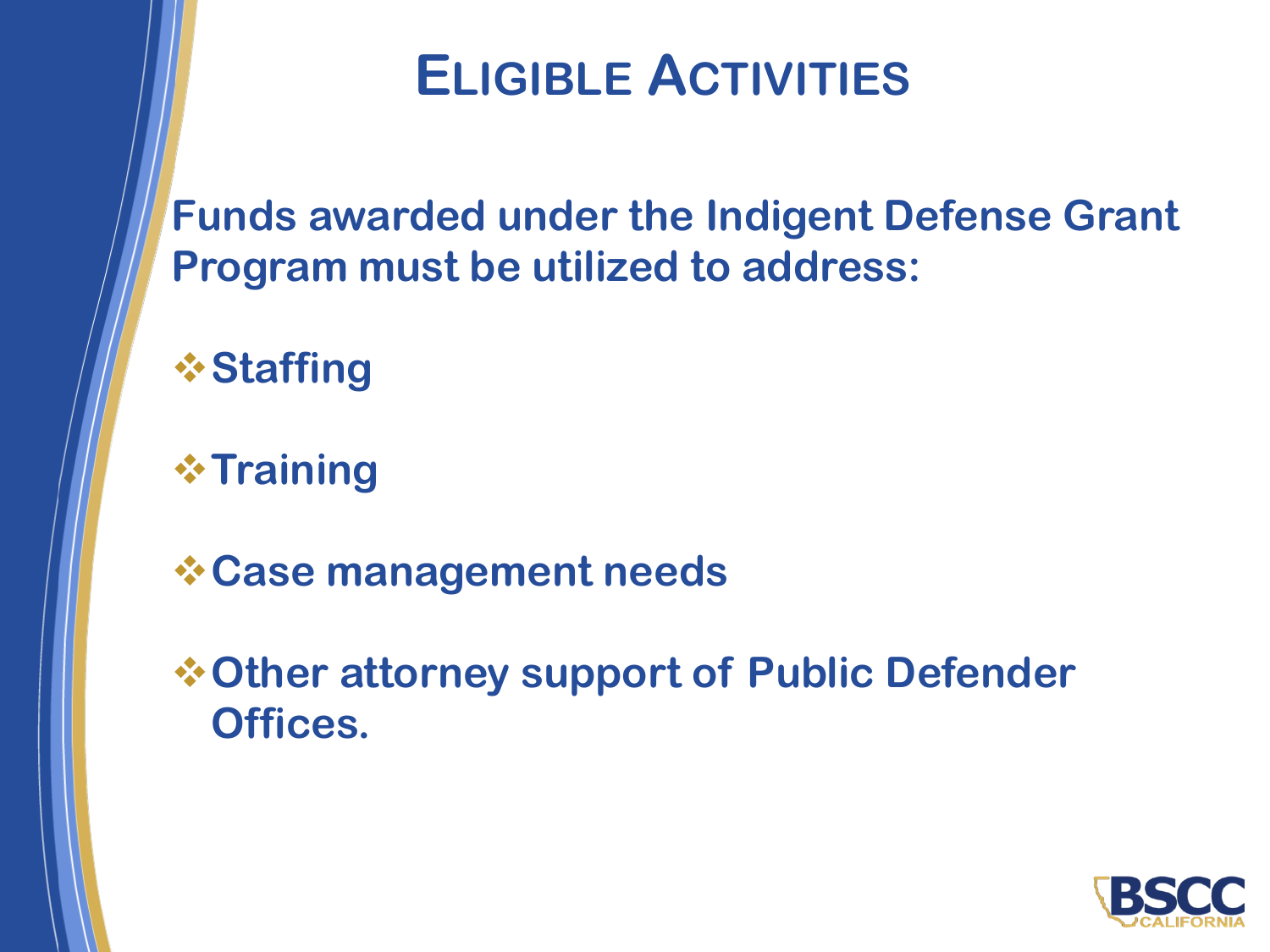#### **ELIGIBLE ACTIVITIES**

**Funds awarded under the Indigent Defense Grant Program must be utilized to address:**

❖**Staffing**

❖**Training**

❖**Case management needs**

❖**Other attorney support of Public Defender Offices.**